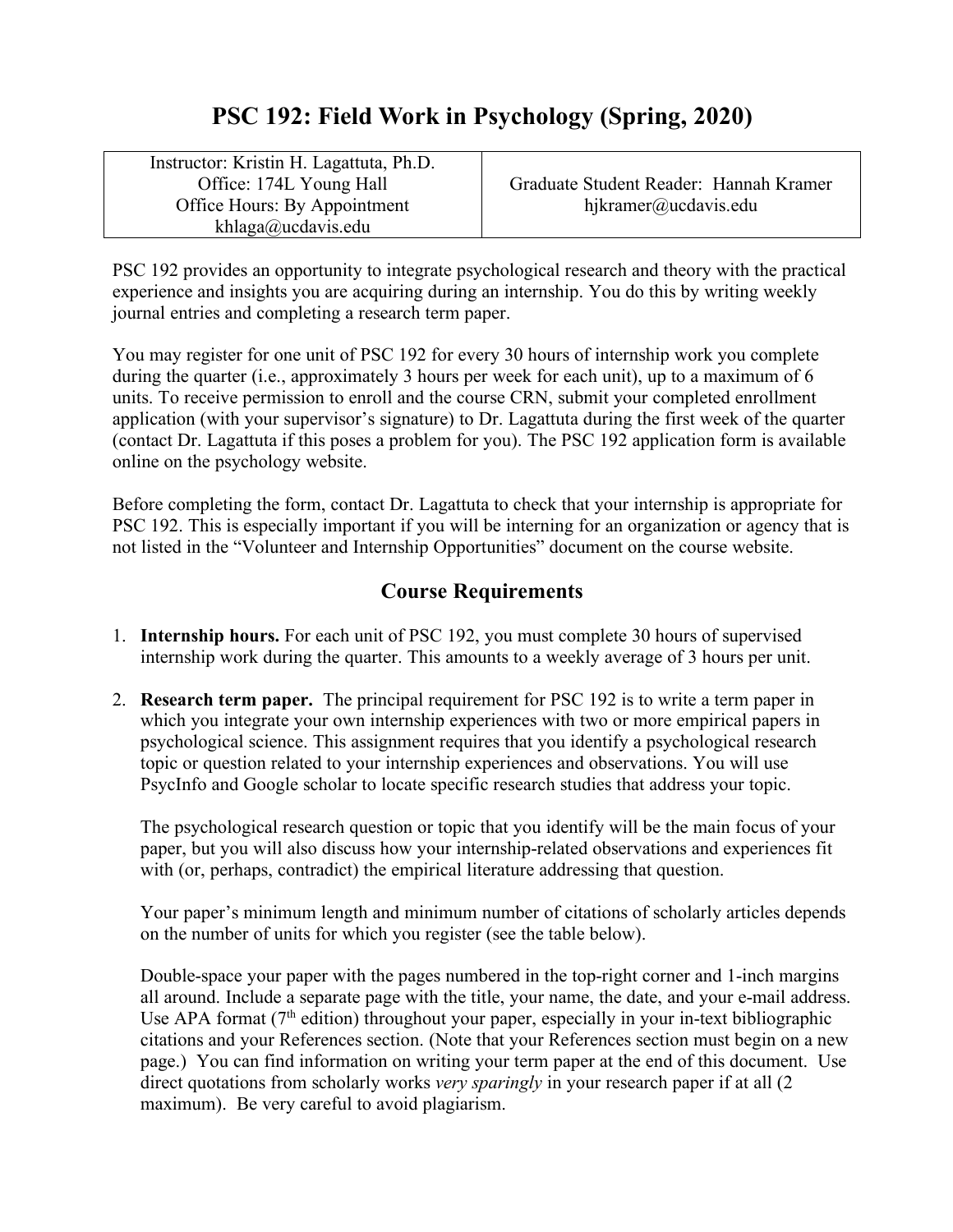# **PSC 192: Field Work in Psychology (Spring, 2020)**

Instructor: Kristin H. Lagattuta, Ph.D. Office: 174L Young Hall Office Hours: By Appointment khlaga@ucdavis.edu

Graduate Student Reader: Hannah Kramer hjkramer@ucdavis.edu

PSC 192 provides an opportunity to integrate psychological research and theory with the practical experience and insights you are acquiring during an internship. You do this by writing weekly journal entries and completing a research term paper.

You may register for one unit of PSC 192 for every 30 hours of internship work you complete during the quarter (i.e., approximately 3 hours per week for each unit), up to a maximum of 6 units. To receive permission to enroll and the course CRN, submit your completed enrollment application (with your supervisor's signature) to Dr. Lagattuta during the first week of the quarter (contact Dr. Lagattuta if this poses a problem for you). The PSC 192 application form is available online on the psychology website.

Before completing the form, contact Dr. Lagattuta to check that your internship is appropriate for PSC 192. This is especially important if you will be interning for an organization or agency that is not listed in the "Volunteer and Internship Opportunities" document on the course website.

### **Course Requirements**

- 1. **Internship hours.** For each unit of PSC 192, you must complete 30 hours of supervised internship work during the quarter. This amounts to a weekly average of 3 hours per unit.
- 2. **Research term paper.** The principal requirement for PSC 192 is to write a term paper in which you integrate your own internship experiences with two or more empirical papers in psychological science. This assignment requires that you identify a psychological research topic or question related to your internship experiences and observations. You will use PsycInfo and Google scholar to locate specific research studies that address your topic.

The psychological research question or topic that you identify will be the main focus of your paper, but you will also discuss how your internship-related observations and experiences fit with (or, perhaps, contradict) the empirical literature addressing that question.

Your paper's minimum length and minimum number of citations of scholarly articles depends on the number of units for which you register (see the table below).

Double-space your paper with the pages numbered in the top-right corner and 1-inch margins all around. Include a separate page with the title, your name, the date, and your e-mail address. Use APA format  $(7<sup>th</sup>$  edition) throughout your paper, especially in your in-text bibliographic citations and your References section. (Note that your References section must begin on a new page.) You can find information on writing your term paper at the end of this document. Use direct quotations from scholarly works *very sparingly* in your research paper if at all (2) maximum). Be very careful to avoid plagiarism.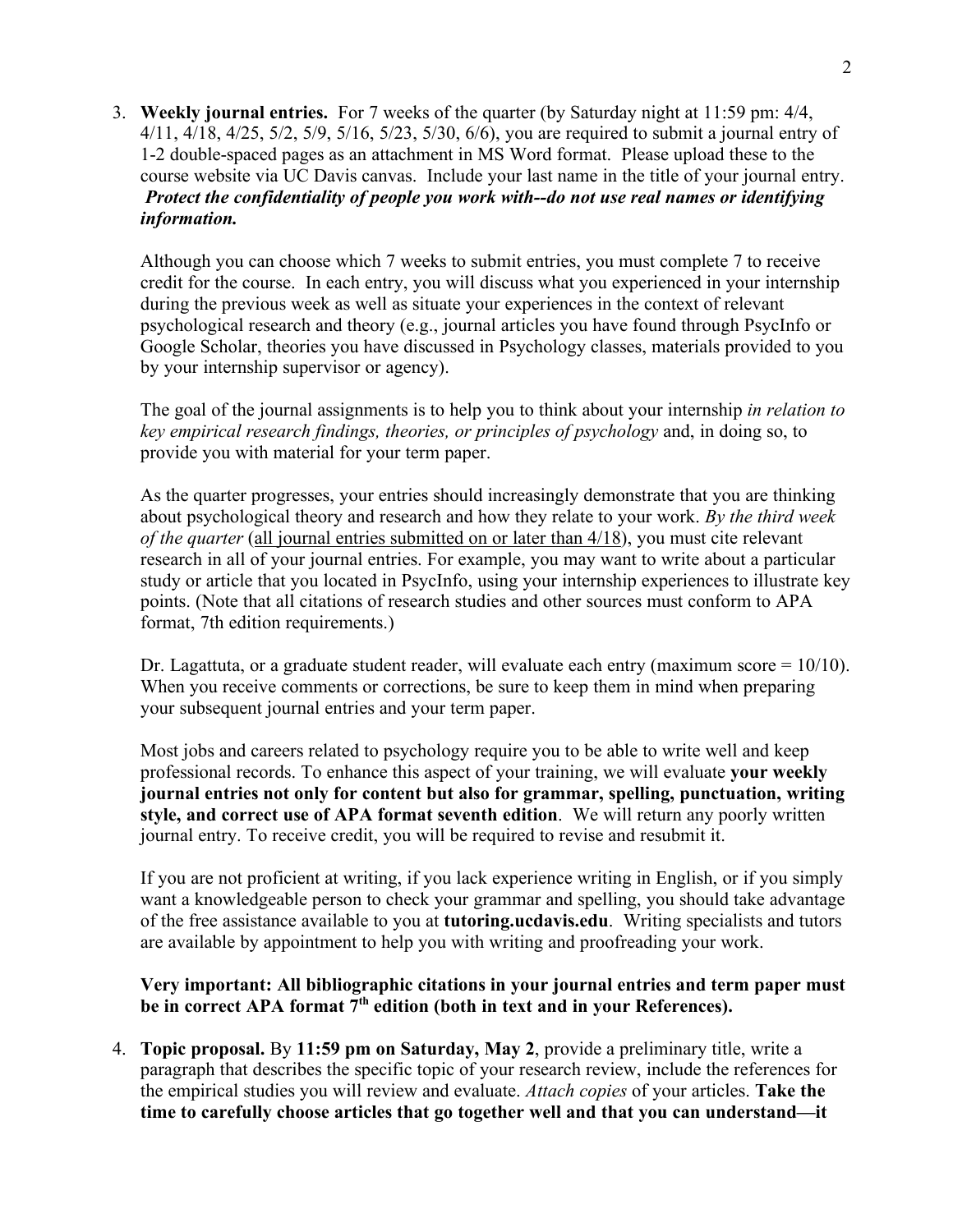3. **Weekly journal entries.** For 7 weeks of the quarter (by Saturday night at 11:59 pm: 4/4, 4/11, 4/18, 4/25, 5/2, 5/9, 5/16, 5/23, 5/30, 6/6), you are required to submit a journal entry of 1-2 double-spaced pages as an attachment in MS Word format. Please upload these to the course website via UC Davis canvas. Include your last name in the title of your journal entry. *Protect the confidentiality of people you work with--do not use real names or identifying information.*

Although you can choose which 7 weeks to submit entries, you must complete 7 to receive credit for the course. In each entry, you will discuss what you experienced in your internship during the previous week as well as situate your experiences in the context of relevant psychological research and theory (e.g., journal articles you have found through PsycInfo or Google Scholar, theories you have discussed in Psychology classes, materials provided to you by your internship supervisor or agency).

The goal of the journal assignments is to help you to think about your internship *in relation to key empirical research findings, theories, or principles of psychology* and, in doing so, to provide you with material for your term paper.

As the quarter progresses, your entries should increasingly demonstrate that you are thinking about psychological theory and research and how they relate to your work. *By the third week of the quarter* (all journal entries submitted on or later than 4/18), you must cite relevant research in all of your journal entries. For example, you may want to write about a particular study or article that you located in PsycInfo, using your internship experiences to illustrate key points. (Note that all citations of research studies and other sources must conform to APA format, 7th edition requirements.)

Dr. Lagattuta, or a graduate student reader, will evaluate each entry (maximum score  $= 10/10$ ). When you receive comments or corrections, be sure to keep them in mind when preparing your subsequent journal entries and your term paper.

Most jobs and careers related to psychology require you to be able to write well and keep professional records. To enhance this aspect of your training, we will evaluate **your weekly journal entries not only for content but also for grammar, spelling, punctuation, writing style, and correct use of APA format seventh edition**. We will return any poorly written journal entry. To receive credit, you will be required to revise and resubmit it.

If you are not proficient at writing, if you lack experience writing in English, or if you simply want a knowledgeable person to check your grammar and spelling, you should take advantage of the free assistance available to you at **tutoring.ucdavis.edu**. Writing specialists and tutors are available by appointment to help you with writing and proofreading your work.

**Very important: All bibliographic citations in your journal entries and term paper must be in correct APA format 7th edition (both in text and in your References).**

4. **Topic proposal.** By **11:59 pm on Saturday, May 2**, provide a preliminary title, write a paragraph that describes the specific topic of your research review, include the references for the empirical studies you will review and evaluate. *Attach copies* of your articles. **Take the time to carefully choose articles that go together well and that you can understand—it**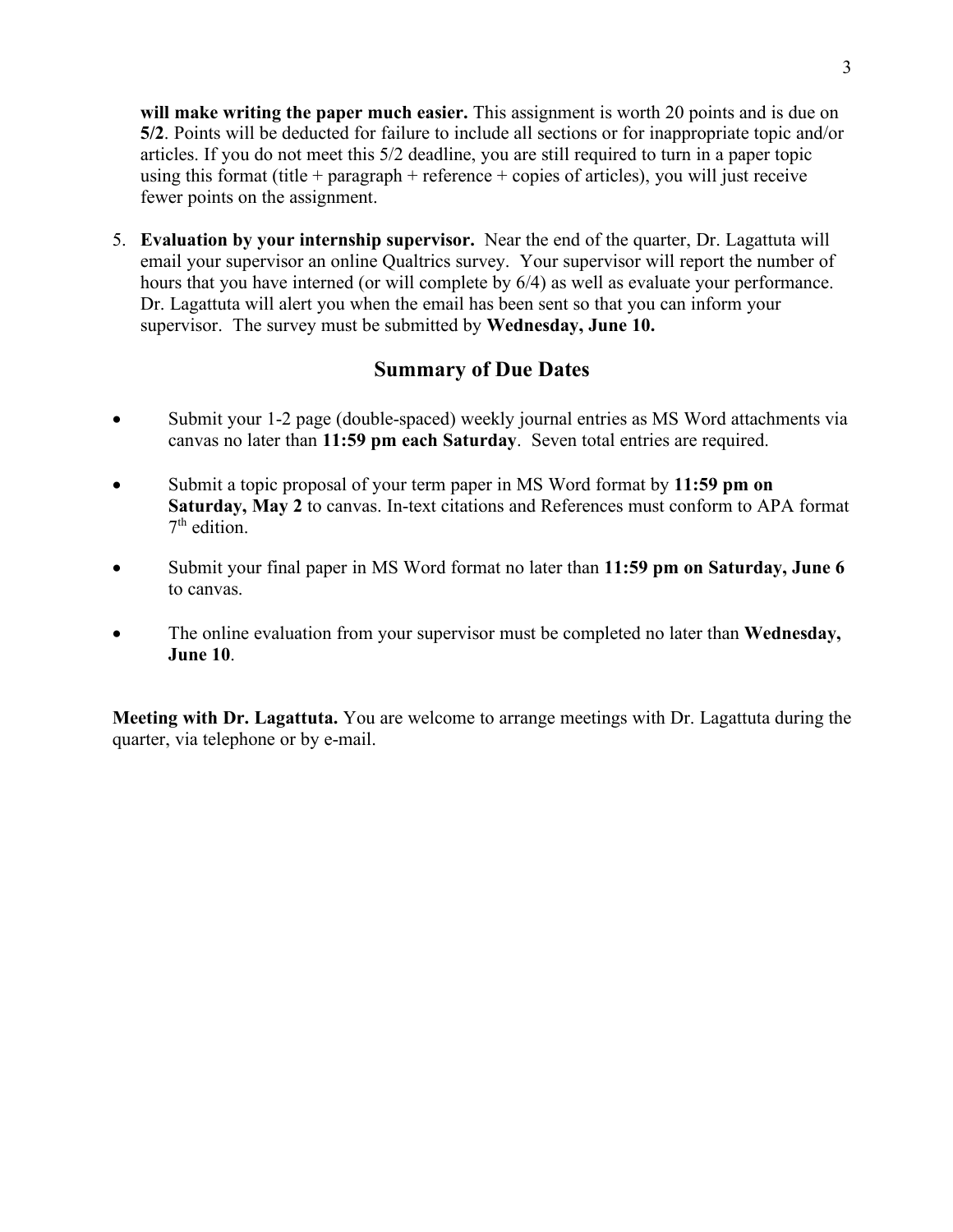**will make writing the paper much easier.** This assignment is worth 20 points and is due on **5/2**. Points will be deducted for failure to include all sections or for inappropriate topic and/or articles. If you do not meet this 5/2 deadline, you are still required to turn in a paper topic using this format (title + paragraph + reference + copies of articles), you will just receive fewer points on the assignment.

5. **Evaluation by your internship supervisor.** Near the end of the quarter, Dr. Lagattuta will email your supervisor an online Qualtrics survey. Your supervisor will report the number of hours that you have interned (or will complete by 6/4) as well as evaluate your performance. Dr. Lagattuta will alert you when the email has been sent so that you can inform your supervisor. The survey must be submitted by **Wednesday, June 10.**

#### **Summary of Due Dates**

- Submit your 1-2 page (double-spaced) weekly journal entries as MS Word attachments via canvas no later than **11:59 pm each Saturday**. Seven total entries are required.
- Submit a topic proposal of your term paper in MS Word format by **11:59 pm on Saturday, May 2** to canvas. In-text citations and References must conform to APA format 7th edition.
- Submit your final paper in MS Word format no later than **11:59 pm on Saturday, June 6** to canvas.
- The online evaluation from your supervisor must be completed no later than **Wednesday, June 10**.

**Meeting with Dr. Lagattuta.** You are welcome to arrange meetings with Dr. Lagattuta during the quarter, via telephone or by e-mail.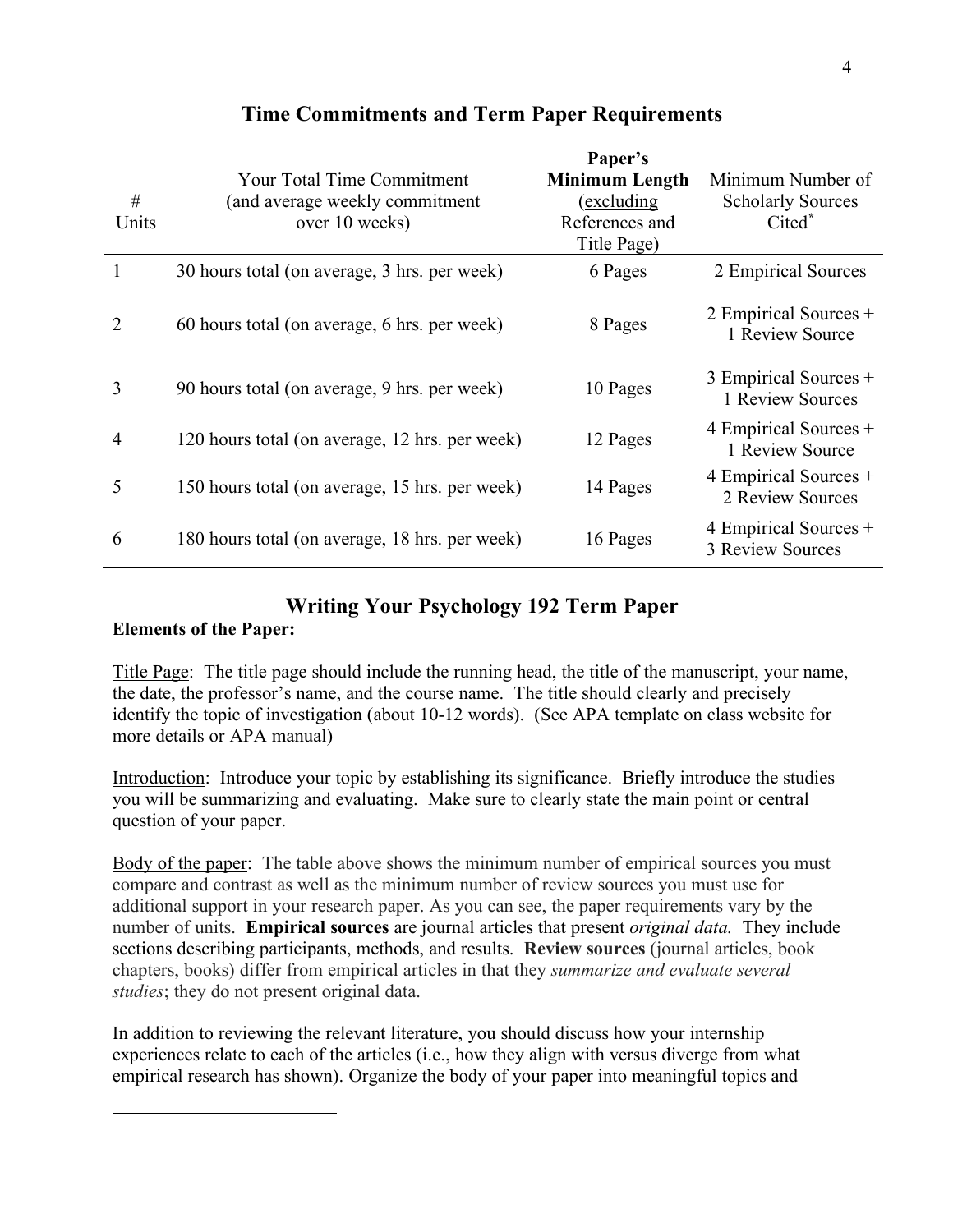| #<br>Units                  | <b>Your Total Time Commitment</b><br>(and average weekly commitment<br>over 10 weeks) | Paper's<br><b>Minimum Length</b><br>(excluding)<br>References and<br>Title Page) | Minimum Number of<br><b>Scholarly Sources</b><br>Cited* |
|-----------------------------|---------------------------------------------------------------------------------------|----------------------------------------------------------------------------------|---------------------------------------------------------|
|                             | 30 hours total (on average, 3 hrs. per week)                                          | 6 Pages                                                                          | 2 Empirical Sources                                     |
| $\mathcal{D}_{\mathcal{L}}$ | 60 hours total (on average, 6 hrs. per week)                                          | 8 Pages                                                                          | 2 Empirical Sources +<br>1 Review Source                |
| 3                           | 90 hours total (on average, 9 hrs. per week)                                          | 10 Pages                                                                         | 3 Empirical Sources +<br>1 Review Sources               |
| $\overline{4}$              | 120 hours total (on average, 12 hrs. per week)                                        | 12 Pages                                                                         | 4 Empirical Sources +<br>1 Review Source                |
| 5                           | 150 hours total (on average, 15 hrs. per week)                                        | 14 Pages                                                                         | 4 Empirical Sources +<br>2 Review Sources               |
| 6                           | 180 hours total (on average, 18 hrs. per week)                                        | 16 Pages                                                                         | 4 Empirical Sources +<br><b>3 Review Sources</b>        |

## **Time Commitments and Term Paper Requirements**

## **Writing Your Psychology 192 Term Paper**

#### **Elements of the Paper:**

1

Title Page: The title page should include the running head, the title of the manuscript, your name, the date, the professor's name, and the course name. The title should clearly and precisely identify the topic of investigation (about 10-12 words). (See APA template on class website for more details or APA manual)

Introduction: Introduce your topic by establishing its significance. Briefly introduce the studies you will be summarizing and evaluating. Make sure to clearly state the main point or central question of your paper.

Body of the paper: The table above shows the minimum number of empirical sources you must compare and contrast as well as the minimum number of review sources you must use for additional support in your research paper. As you can see, the paper requirements vary by the number of units. **Empirical sources** are journal articles that present *original data.* They include sections describing participants, methods, and results. **Review sources** (journal articles, book chapters, books) differ from empirical articles in that they *summarize and evaluate several studies*; they do not present original data.

In addition to reviewing the relevant literature, you should discuss how your internship experiences relate to each of the articles (i.e., how they align with versus diverge from what empirical research has shown). Organize the body of your paper into meaningful topics and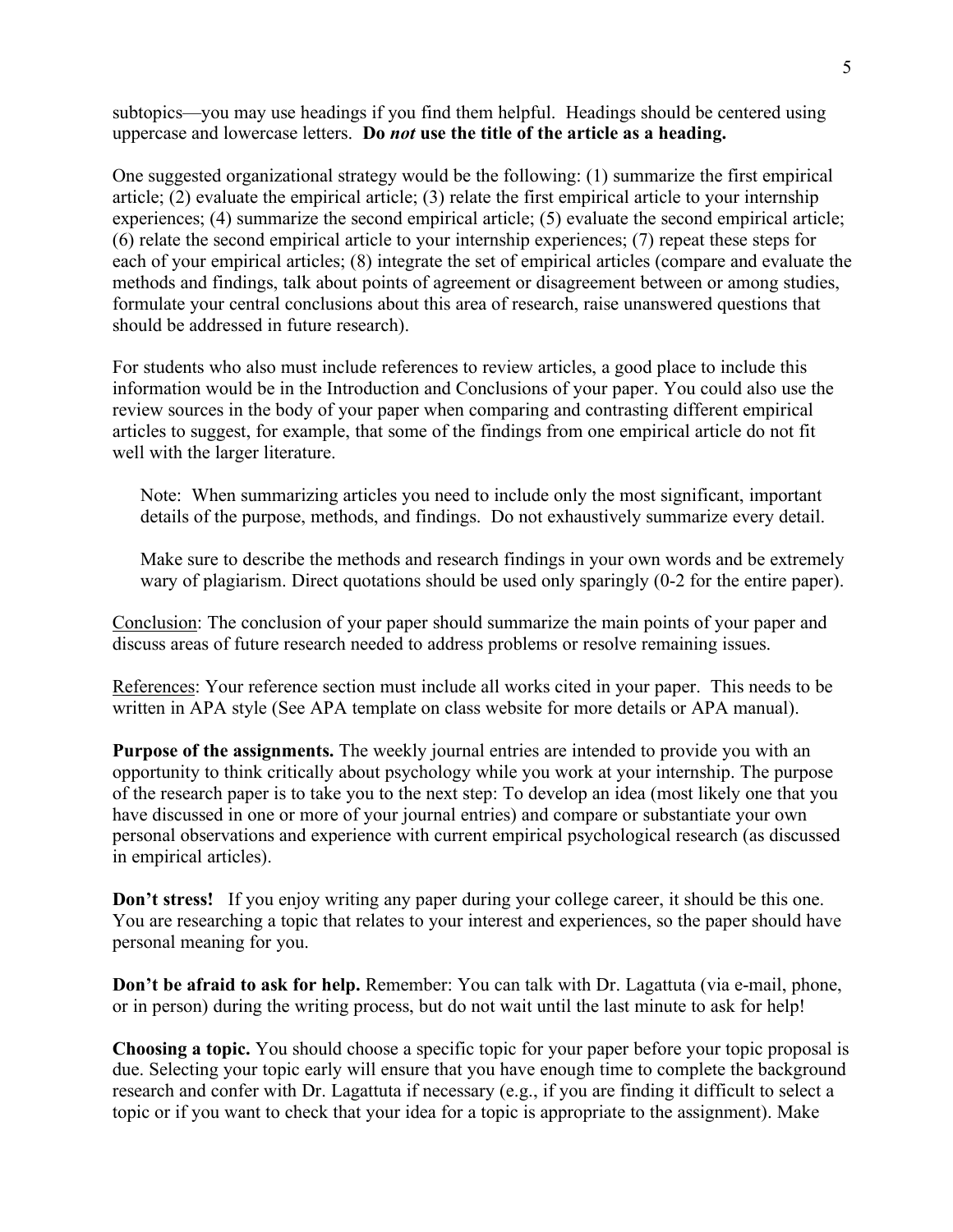subtopics—you may use headings if you find them helpful. Headings should be centered using uppercase and lowercase letters. **Do** *not* **use the title of the article as a heading.** 

One suggested organizational strategy would be the following: (1) summarize the first empirical article; (2) evaluate the empirical article; (3) relate the first empirical article to your internship experiences; (4) summarize the second empirical article; (5) evaluate the second empirical article; (6) relate the second empirical article to your internship experiences; (7) repeat these steps for each of your empirical articles; (8) integrate the set of empirical articles (compare and evaluate the methods and findings, talk about points of agreement or disagreement between or among studies, formulate your central conclusions about this area of research, raise unanswered questions that should be addressed in future research).

For students who also must include references to review articles, a good place to include this information would be in the Introduction and Conclusions of your paper. You could also use the review sources in the body of your paper when comparing and contrasting different empirical articles to suggest, for example, that some of the findings from one empirical article do not fit well with the larger literature.

Note: When summarizing articles you need to include only the most significant, important details of the purpose, methods, and findings. Do not exhaustively summarize every detail.

Make sure to describe the methods and research findings in your own words and be extremely wary of plagiarism. Direct quotations should be used only sparingly (0-2 for the entire paper).

Conclusion: The conclusion of your paper should summarize the main points of your paper and discuss areas of future research needed to address problems or resolve remaining issues.

References: Your reference section must include all works cited in your paper. This needs to be written in APA style (See APA template on class website for more details or APA manual).

**Purpose of the assignments.** The weekly journal entries are intended to provide you with an opportunity to think critically about psychology while you work at your internship. The purpose of the research paper is to take you to the next step: To develop an idea (most likely one that you have discussed in one or more of your journal entries) and compare or substantiate your own personal observations and experience with current empirical psychological research (as discussed in empirical articles).

**Don't stress!** If you enjoy writing any paper during your college career, it should be this one. You are researching a topic that relates to your interest and experiences, so the paper should have personal meaning for you.

**Don't be afraid to ask for help.** Remember: You can talk with Dr. Lagattuta (via e-mail, phone, or in person) during the writing process, but do not wait until the last minute to ask for help!

**Choosing a topic.** You should choose a specific topic for your paper before your topic proposal is due. Selecting your topic early will ensure that you have enough time to complete the background research and confer with Dr. Lagattuta if necessary (e.g., if you are finding it difficult to select a topic or if you want to check that your idea for a topic is appropriate to the assignment). Make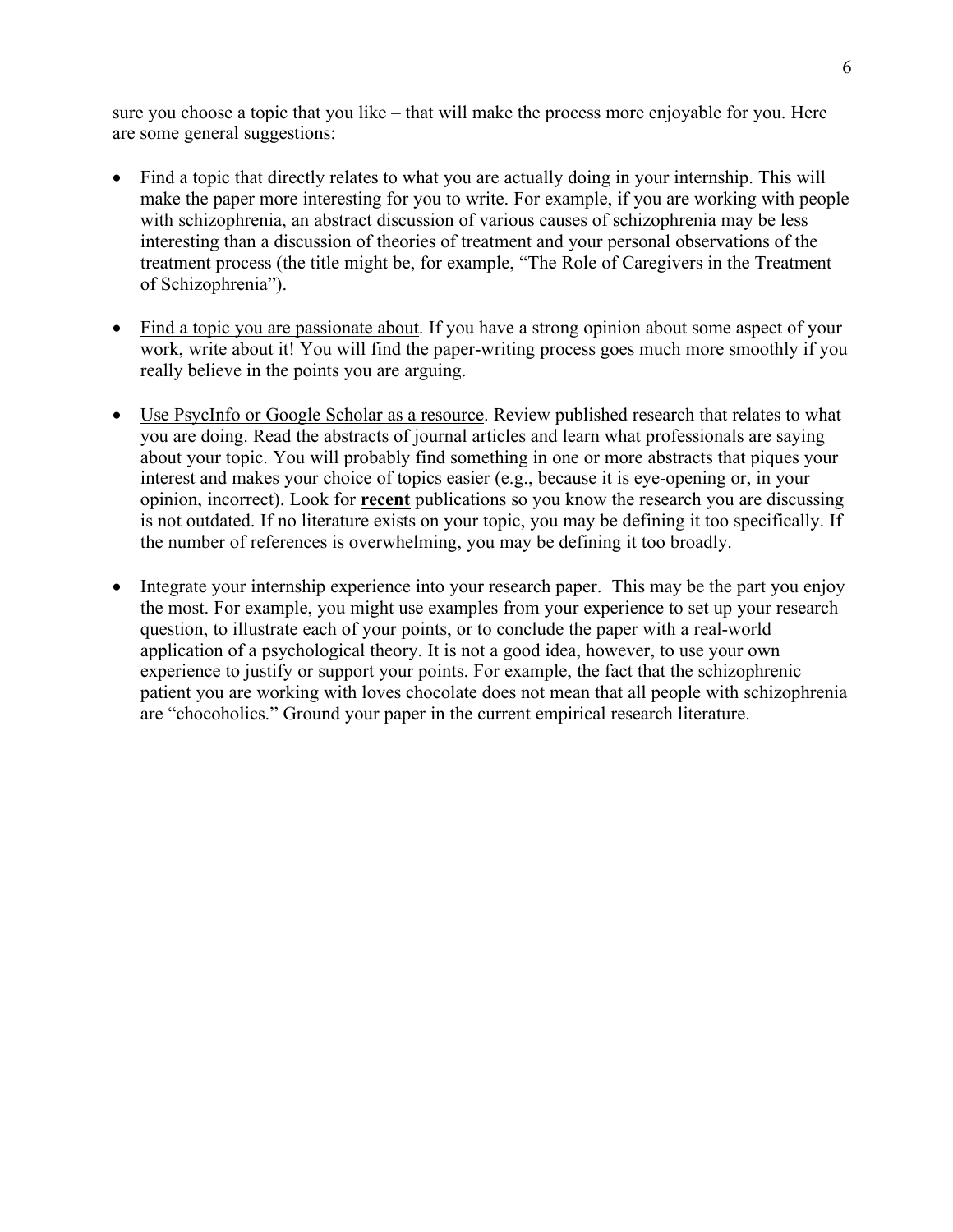sure you choose a topic that you like – that will make the process more enjoyable for you. Here are some general suggestions:

- Find a topic that directly relates to what you are actually doing in your internship. This will make the paper more interesting for you to write. For example, if you are working with people with schizophrenia, an abstract discussion of various causes of schizophrenia may be less interesting than a discussion of theories of treatment and your personal observations of the treatment process (the title might be, for example, "The Role of Caregivers in the Treatment of Schizophrenia").
- Find a topic you are passionate about. If you have a strong opinion about some aspect of your work, write about it! You will find the paper-writing process goes much more smoothly if you really believe in the points you are arguing.
- Use PsycInfo or Google Scholar as a resource. Review published research that relates to what you are doing. Read the abstracts of journal articles and learn what professionals are saying about your topic. You will probably find something in one or more abstracts that piques your interest and makes your choice of topics easier (e.g., because it is eye-opening or, in your opinion, incorrect). Look for **recent** publications so you know the research you are discussing is not outdated. If no literature exists on your topic, you may be defining it too specifically. If the number of references is overwhelming, you may be defining it too broadly.
- Integrate your internship experience into your research paper. This may be the part you enjoy the most. For example, you might use examples from your experience to set up your research question, to illustrate each of your points, or to conclude the paper with a real-world application of a psychological theory. It is not a good idea, however, to use your own experience to justify or support your points. For example, the fact that the schizophrenic patient you are working with loves chocolate does not mean that all people with schizophrenia are "chocoholics." Ground your paper in the current empirical research literature.